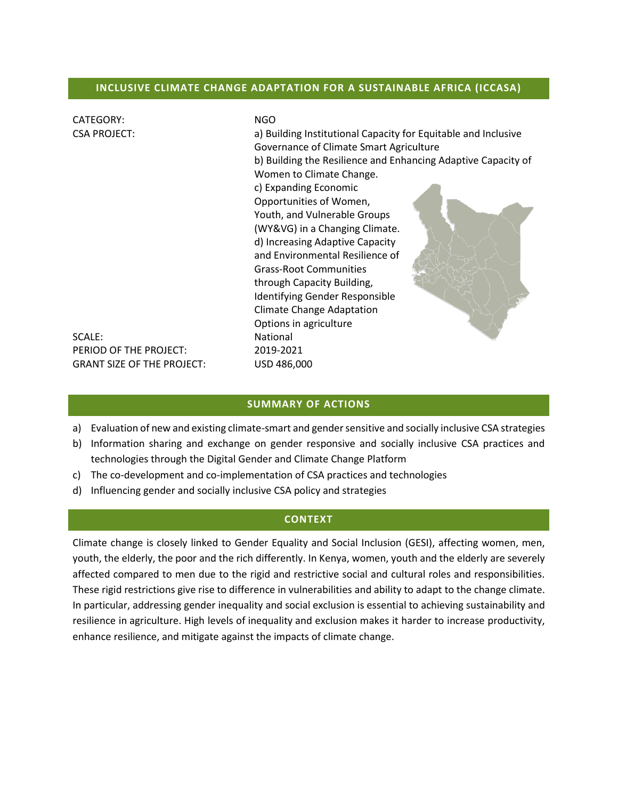### **INCLUSIVE CLIMATE CHANGE ADAPTATION FOR A SUSTAINABLE AFRICA (ICCASA)**

| <b>CATEGORY:</b>                  | <b>NGO</b>                                                     |  |  |
|-----------------------------------|----------------------------------------------------------------|--|--|
| <b>CSA PROJECT:</b>               | a) Building Institutional Capacity for Equitable and Inclusive |  |  |
|                                   | Governance of Climate Smart Agriculture                        |  |  |
|                                   | b) Building the Resilience and Enhancing Adaptive Capacity of  |  |  |
|                                   | Women to Climate Change.                                       |  |  |
|                                   | c) Expanding Economic                                          |  |  |
|                                   | Opportunities of Women,                                        |  |  |
|                                   | Youth, and Vulnerable Groups                                   |  |  |
|                                   | (WY&VG) in a Changing Climate.                                 |  |  |
|                                   | d) Increasing Adaptive Capacity                                |  |  |
|                                   | and Environmental Resilience of                                |  |  |
|                                   | <b>Grass-Root Communities</b>                                  |  |  |
|                                   | through Capacity Building,                                     |  |  |
|                                   | Identifying Gender Responsible                                 |  |  |
|                                   | <b>Climate Change Adaptation</b>                               |  |  |
|                                   | Options in agriculture                                         |  |  |
| SCALE:                            | <b>National</b>                                                |  |  |
| PERIOD OF THE PROJECT:            | 2019-2021                                                      |  |  |
| <b>GRANT SIZE OF THE PROJECT:</b> | USD 486,000                                                    |  |  |

### **SUMMARY OF ACTIONS**

- a) Evaluation of new and existing climate-smart and gender sensitive and socially inclusive CSA strategies
- b) Information sharing and exchange on gender responsive and socially inclusive CSA practices and technologies through the Digital Gender and Climate Change Platform
- c) The co-development and co-implementation of CSA practices and technologies
- d) Influencing gender and socially inclusive CSA policy and strategies

#### **CONTEXT**

Climate change is closely linked to Gender Equality and Social Inclusion (GESI), affecting women, men, youth, the elderly, the poor and the rich differently. In Kenya, women, youth and the elderly are severely affected compared to men due to the rigid and restrictive social and cultural roles and responsibilities. These rigid restrictions give rise to difference in vulnerabilities and ability to adapt to the change climate. In particular, addressing gender inequality and social exclusion is essential to achieving sustainability and resilience in agriculture. High levels of inequality and exclusion makes it harder to increase productivity, enhance resilience, and mitigate against the impacts of climate change.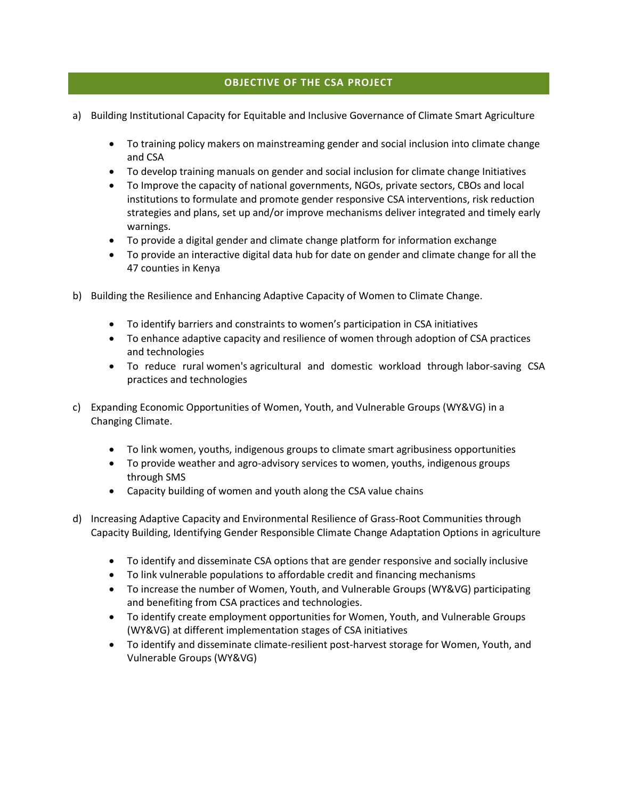## **OBJECTIVE OF THE CSA PROJECT**

- a) Building Institutional Capacity for Equitable and Inclusive Governance of Climate Smart Agriculture
	- To training policy makers on mainstreaming gender and social inclusion into climate change and CSA
	- To develop training manuals on gender and social inclusion for climate change Initiatives
	- To Improve the capacity of national governments, NGOs, private sectors, CBOs and local institutions to formulate and promote gender responsive CSA interventions, risk reduction strategies and plans, set up and/or improve mechanisms deliver integrated and timely early warnings.
	- To provide a digital gender and climate change platform for information exchange
	- To provide an interactive digital data hub for date on gender and climate change for all the 47 counties in Kenya
- b) Building the Resilience and Enhancing Adaptive Capacity of Women to Climate Change.
	- To identify barriers and constraints to women's participation in CSA initiatives
	- To enhance adaptive capacity and resilience of women through adoption of CSA practices and technologies
	- To reduce rural women's agricultural and domestic workload through labor-saving CSA practices and technologies
- c) Expanding Economic Opportunities of Women, Youth, and Vulnerable Groups (WY&VG) in a Changing Climate.
	- To link women, youths, indigenous groups to climate smart agribusiness opportunities
	- To provide weather and agro-advisory services to women, youths, indigenous groups through SMS
	- Capacity building of women and youth along the CSA value chains
- d) Increasing Adaptive Capacity and Environmental Resilience of Grass-Root Communities through Capacity Building, Identifying Gender Responsible Climate Change Adaptation Options in agriculture
	- To identify and disseminate CSA options that are gender responsive and socially inclusive
	- To link vulnerable populations to affordable credit and financing mechanisms
	- To increase the number of Women, Youth, and Vulnerable Groups (WY&VG) participating and benefiting from CSA practices and technologies.
	- To identify create employment opportunities for Women, Youth, and Vulnerable Groups (WY&VG) at different implementation stages of CSA initiatives
	- To identify and disseminate climate-resilient post-harvest storage for Women, Youth, and Vulnerable Groups (WY&VG)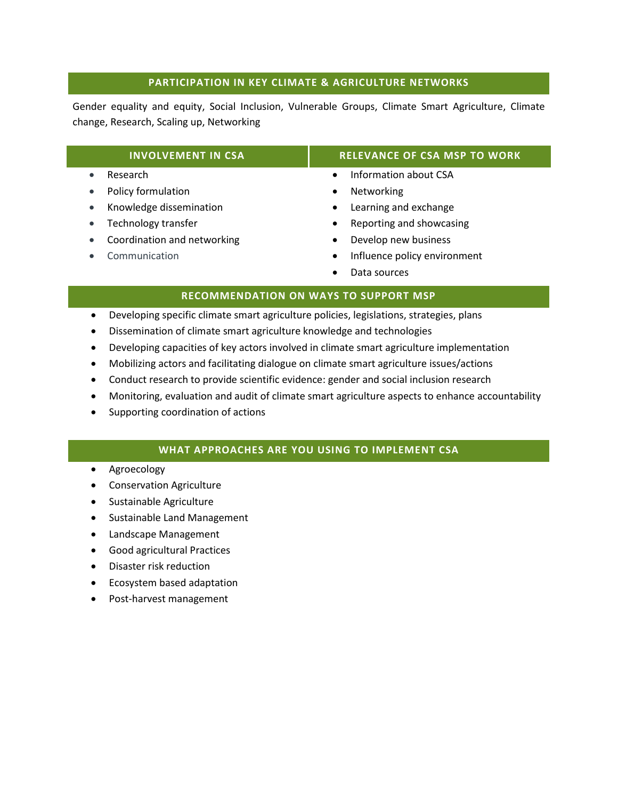## **PARTICIPATION IN KEY CLIMATE & AGRICULTURE NETWORKS**

Gender equality and equity, Social Inclusion, Vulnerable Groups, Climate Smart Agriculture, Climate change, Research, Scaling up, Networking

| <b>INVOLVEMENT IN CSA</b>   | <b>RELEVANCE OF CSA MSP TO WORK</b>       |  |
|-----------------------------|-------------------------------------------|--|
| Research                    | Information about CSA<br>$\bullet$        |  |
| Policy formulation          | Networking<br>$\bullet$                   |  |
| Knowledge dissemination     | Learning and exchange<br>$\bullet$        |  |
| Technology transfer         | Reporting and showcasing<br>$\bullet$     |  |
| Coordination and networking | Develop new business<br>$\bullet$         |  |
| Communication               | Influence policy environment<br>$\bullet$ |  |
|                             | Data sources                              |  |

- **RECOMMENDATION ON WAYS TO SUPPORT MSP**
- Developing specific climate smart agriculture policies, legislations, strategies, plans
- Dissemination of climate smart agriculture knowledge and technologies
- Developing capacities of key actors involved in climate smart agriculture implementation
- Mobilizing actors and facilitating dialogue on climate smart agriculture issues/actions
- Conduct research to provide scientific evidence: gender and social inclusion research
- Monitoring, evaluation and audit of climate smart agriculture aspects to enhance accountability
- Supporting coordination of actions

## **WHAT APPROACHES ARE YOU USING TO IMPLEMENT CSA**

- Agroecology
- **•** Conservation Agriculture
- Sustainable Agriculture
- Sustainable Land Management
- Landscape Management
- Good agricultural Practices
- Disaster risk reduction
- **•** Ecosystem based adaptation
- Post-harvest management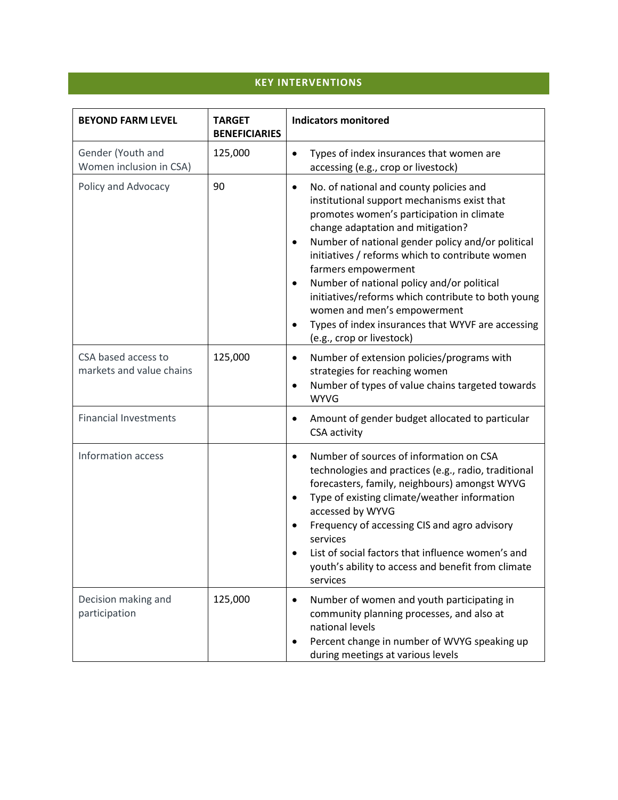# **KEY INTERVENTIONS**

| <b>BEYOND FARM LEVEL</b>                        | <b>TARGET</b><br><b>BENEFICIARIES</b> | <b>Indicators monitored</b>                                                                                                                                                                                                                                                                                                                                                                                                                                                                                                                                                      |
|-------------------------------------------------|---------------------------------------|----------------------------------------------------------------------------------------------------------------------------------------------------------------------------------------------------------------------------------------------------------------------------------------------------------------------------------------------------------------------------------------------------------------------------------------------------------------------------------------------------------------------------------------------------------------------------------|
| Gender (Youth and<br>Women inclusion in CSA)    | 125,000                               | Types of index insurances that women are<br>$\bullet$<br>accessing (e.g., crop or livestock)                                                                                                                                                                                                                                                                                                                                                                                                                                                                                     |
| Policy and Advocacy                             | 90                                    | No. of national and county policies and<br>$\bullet$<br>institutional support mechanisms exist that<br>promotes women's participation in climate<br>change adaptation and mitigation?<br>Number of national gender policy and/or political<br>$\bullet$<br>initiatives / reforms which to contribute women<br>farmers empowerment<br>Number of national policy and/or political<br>$\bullet$<br>initiatives/reforms which contribute to both young<br>women and men's empowerment<br>Types of index insurances that WYVF are accessing<br>$\bullet$<br>(e.g., crop or livestock) |
| CSA based access to<br>markets and value chains | 125,000                               | Number of extension policies/programs with<br>$\bullet$<br>strategies for reaching women<br>Number of types of value chains targeted towards<br>$\bullet$<br><b>WYVG</b>                                                                                                                                                                                                                                                                                                                                                                                                         |
| <b>Financial Investments</b>                    |                                       | Amount of gender budget allocated to particular<br>$\bullet$<br>CSA activity                                                                                                                                                                                                                                                                                                                                                                                                                                                                                                     |
| Information access                              |                                       | Number of sources of information on CSA<br>$\bullet$<br>technologies and practices (e.g., radio, traditional<br>forecasters, family, neighbours) amongst WYVG<br>Type of existing climate/weather information<br>accessed by WYVG<br>Frequency of accessing CIS and agro advisory<br>services<br>List of social factors that influence women's and<br>$\bullet$<br>youth's ability to access and benefit from climate<br>services                                                                                                                                                |
| Decision making and<br>participation            | 125,000                               | Number of women and youth participating in<br>$\bullet$<br>community planning processes, and also at<br>national levels<br>Percent change in number of WVYG speaking up<br>during meetings at various levels                                                                                                                                                                                                                                                                                                                                                                     |